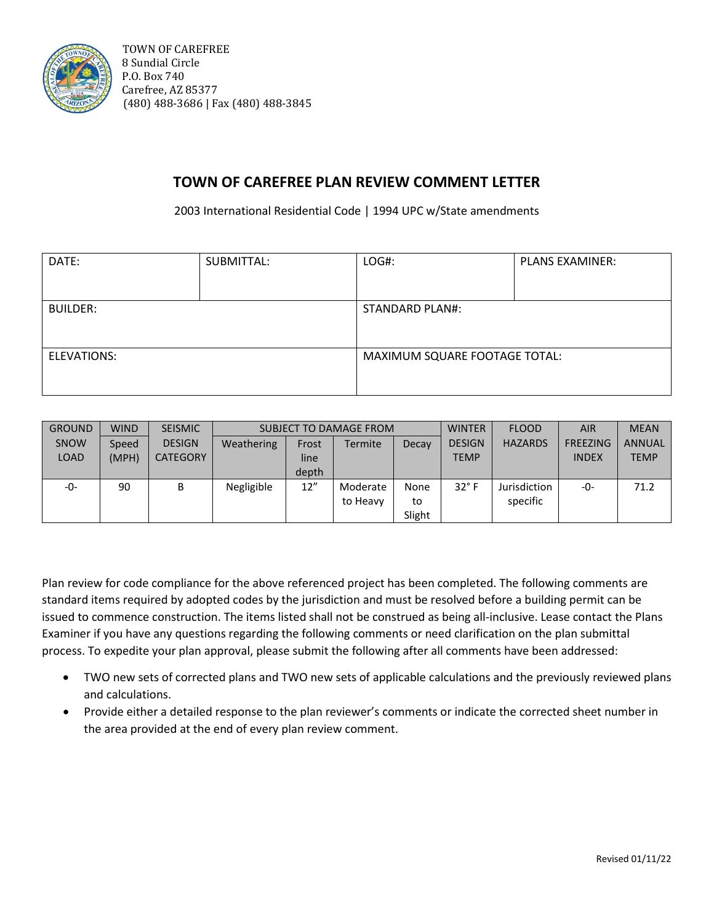

# **TOWN OF CAREFREE PLAN REVIEW COMMENT LETTER**

2003 International Residential Code | 1994 UPC w/State amendments

| DATE:           | SUBMITTAL: | LOG#:                         | <b>PLANS EXAMINER:</b> |  |  |
|-----------------|------------|-------------------------------|------------------------|--|--|
|                 |            |                               |                        |  |  |
| <b>BUILDER:</b> |            | <b>STANDARD PLAN#:</b>        |                        |  |  |
|                 |            |                               |                        |  |  |
| ELEVATIONS:     |            | MAXIMUM SQUARE FOOTAGE TOTAL: |                        |  |  |
|                 |            |                               |                        |  |  |

| <b>GROUND</b> | <b>WIND</b> | <b>SEISMIC</b>  |            |       | SUBJECT TO DAMAGE FROM |        | <b>WINTER</b> | <b>FLOOD</b>   | <b>AIR</b>      | <b>MEAN</b>   |
|---------------|-------------|-----------------|------------|-------|------------------------|--------|---------------|----------------|-----------------|---------------|
| <b>SNOW</b>   | Speed       | <b>DESIGN</b>   | Weathering | Frost | Termite                | Decay  | <b>DESIGN</b> | <b>HAZARDS</b> | <b>FREEZING</b> | <b>ANNUAL</b> |
| <b>LOAD</b>   | (MPH)       | <b>CATEGORY</b> |            | line  |                        |        | <b>TEMP</b>   |                | <b>INDEX</b>    | <b>TEMP</b>   |
|               |             |                 |            | depth |                        |        |               |                |                 |               |
| -0-           | 90          | В               | Negligible | 12"   | Moderate               | None   | $32^\circ$ F  | Jurisdiction   | -0-             | 71.2          |
|               |             |                 |            |       | to Heavy               | to     |               | specific       |                 |               |
|               |             |                 |            |       |                        | Slight |               |                |                 |               |

Plan review for code compliance for the above referenced project has been completed. The following comments are standard items required by adopted codes by the jurisdiction and must be resolved before a building permit can be issued to commence construction. The items listed shall not be construed as being all-inclusive. Lease contact the Plans Examiner if you have any questions regarding the following comments or need clarification on the plan submittal process. To expedite your plan approval, please submit the following after all comments have been addressed:

- TWO new sets of corrected plans and TWO new sets of applicable calculations and the previously reviewed plans and calculations.
- Provide either a detailed response to the plan reviewer's comments or indicate the corrected sheet number in the area provided at the end of every plan review comment.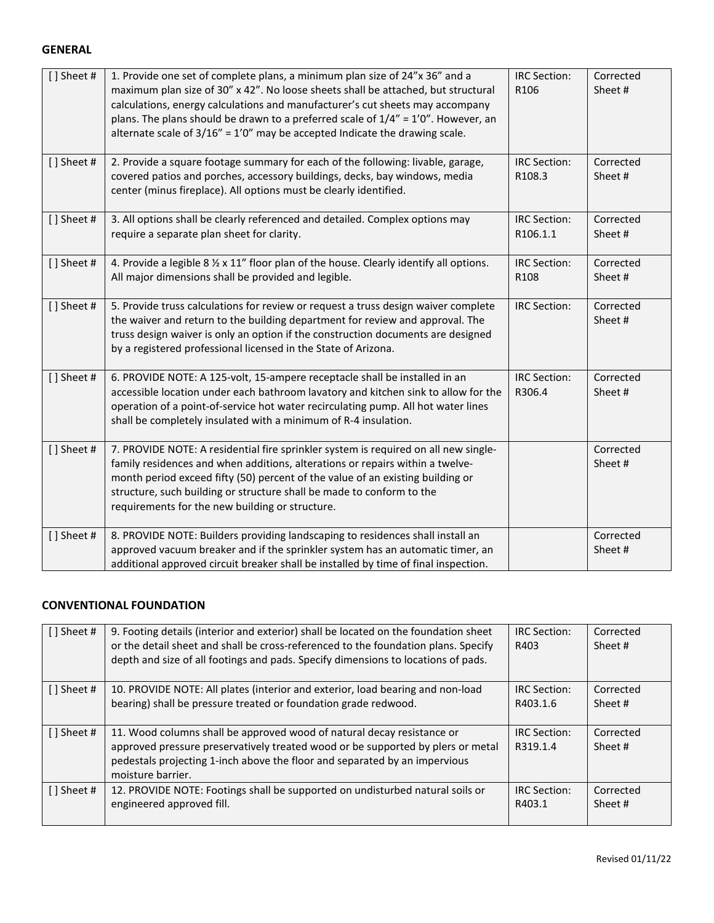#### **GENERAL**

| [] Sheet # | 1. Provide one set of complete plans, a minimum plan size of 24"x 36" and a<br>maximum plan size of 30" x 42". No loose sheets shall be attached, but structural<br>calculations, energy calculations and manufacturer's cut sheets may accompany<br>plans. The plans should be drawn to a preferred scale of $1/4" = 1'0"$ . However, an<br>alternate scale of $3/16'' = 1'0''$ may be accepted Indicate the drawing scale. | <b>IRC Section:</b><br>R106     | Corrected<br>Sheet # |
|------------|------------------------------------------------------------------------------------------------------------------------------------------------------------------------------------------------------------------------------------------------------------------------------------------------------------------------------------------------------------------------------------------------------------------------------|---------------------------------|----------------------|
| [] Sheet # | 2. Provide a square footage summary for each of the following: livable, garage,<br>covered patios and porches, accessory buildings, decks, bay windows, media<br>center (minus fireplace). All options must be clearly identified.                                                                                                                                                                                           | <b>IRC Section:</b><br>R108.3   | Corrected<br>Sheet#  |
| [] Sheet # | 3. All options shall be clearly referenced and detailed. Complex options may<br>require a separate plan sheet for clarity.                                                                                                                                                                                                                                                                                                   | <b>IRC Section:</b><br>R106.1.1 | Corrected<br>Sheet # |
| [] Sheet # | 4. Provide a legible 8 % x 11" floor plan of the house. Clearly identify all options.<br>All major dimensions shall be provided and legible.                                                                                                                                                                                                                                                                                 | <b>IRC Section:</b><br>R108     | Corrected<br>Sheet#  |
| [] Sheet # | 5. Provide truss calculations for review or request a truss design waiver complete<br>the waiver and return to the building department for review and approval. The<br>truss design waiver is only an option if the construction documents are designed<br>by a registered professional licensed in the State of Arizona.                                                                                                    | <b>IRC Section:</b>             | Corrected<br>Sheet#  |
| [] Sheet # | 6. PROVIDE NOTE: A 125-volt, 15-ampere receptacle shall be installed in an<br>accessible location under each bathroom lavatory and kitchen sink to allow for the<br>operation of a point-of-service hot water recirculating pump. All hot water lines<br>shall be completely insulated with a minimum of R-4 insulation.                                                                                                     | <b>IRC Section:</b><br>R306.4   | Corrected<br>Sheet # |
| [] Sheet # | 7. PROVIDE NOTE: A residential fire sprinkler system is required on all new single-<br>family residences and when additions, alterations or repairs within a twelve-<br>month period exceed fifty (50) percent of the value of an existing building or<br>structure, such building or structure shall be made to conform to the<br>requirements for the new building or structure.                                           |                                 | Corrected<br>Sheet#  |
| [] Sheet # | 8. PROVIDE NOTE: Builders providing landscaping to residences shall install an<br>approved vacuum breaker and if the sprinkler system has an automatic timer, an<br>additional approved circuit breaker shall be installed by time of final inspection.                                                                                                                                                                      |                                 | Corrected<br>Sheet#  |

#### **CONVENTIONAL FOUNDATION**

| [] Sheet #  | 9. Footing details (interior and exterior) shall be located on the foundation sheet<br>or the detail sheet and shall be cross-referenced to the foundation plans. Specify<br>depth and size of all footings and pads. Specify dimensions to locations of pads. | <b>IRC</b> Section:<br>R403     | Corrected<br>Sheet # |
|-------------|----------------------------------------------------------------------------------------------------------------------------------------------------------------------------------------------------------------------------------------------------------------|---------------------------------|----------------------|
| [] Sheet #  | 10. PROVIDE NOTE: All plates (interior and exterior, load bearing and non-load                                                                                                                                                                                 | <b>IRC</b> Section:             | Corrected            |
|             | bearing) shall be pressure treated or foundation grade redwood.                                                                                                                                                                                                | R403.1.6                        | Sheet #              |
| [] Sheet #  | 11. Wood columns shall be approved wood of natural decay resistance or<br>approved pressure preservatively treated wood or be supported by plers or metal<br>pedestals projecting 1-inch above the floor and separated by an impervious<br>moisture barrier.   | <b>IRC</b> Section:<br>R319.1.4 | Corrected<br>Sheet # |
| [ ] Sheet # | 12. PROVIDE NOTE: Footings shall be supported on undisturbed natural soils or                                                                                                                                                                                  | <b>IRC</b> Section:             | Corrected            |
|             | engineered approved fill.                                                                                                                                                                                                                                      | R403.1                          | Sheet #              |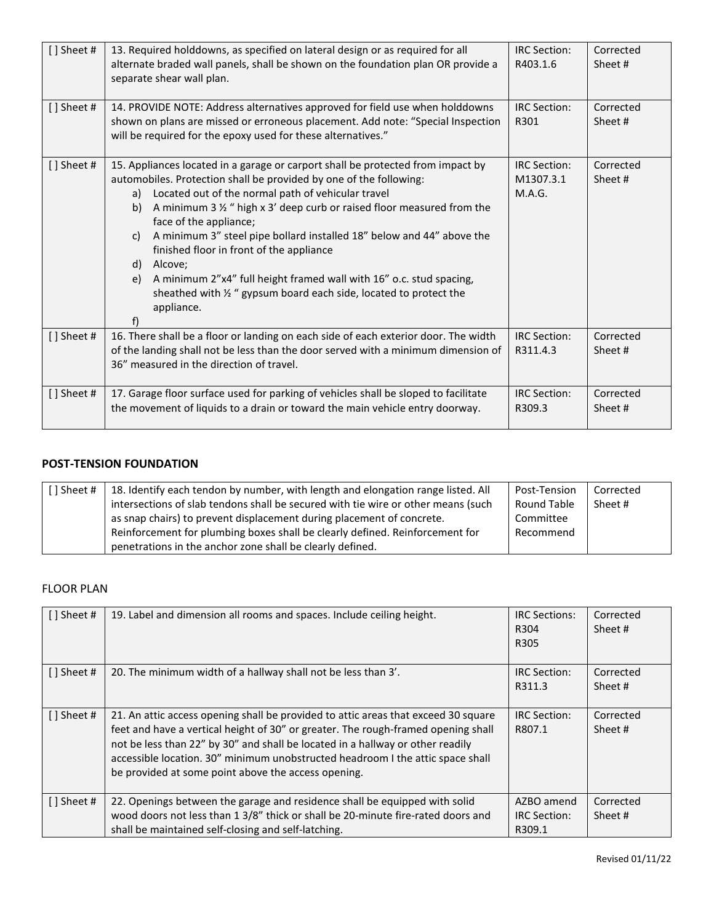| [] Sheet #    | 13. Required holddowns, as specified on lateral design or as required for all<br>alternate braded wall panels, shall be shown on the foundation plan OR provide a<br>separate shear wall plan.                                                                                                                                                                                                                                                                                                                                                                                                                                                         | <b>IRC Section:</b><br>R403.1.6            | Corrected<br>Sheet # |
|---------------|--------------------------------------------------------------------------------------------------------------------------------------------------------------------------------------------------------------------------------------------------------------------------------------------------------------------------------------------------------------------------------------------------------------------------------------------------------------------------------------------------------------------------------------------------------------------------------------------------------------------------------------------------------|--------------------------------------------|----------------------|
| [] Sheet #    | 14. PROVIDE NOTE: Address alternatives approved for field use when holddowns<br>shown on plans are missed or erroneous placement. Add note: "Special Inspection<br>will be required for the epoxy used for these alternatives."                                                                                                                                                                                                                                                                                                                                                                                                                        | <b>IRC Section:</b><br>R301                | Corrected<br>Sheet # |
| $[$ ] Sheet # | 15. Appliances located in a garage or carport shall be protected from impact by<br>automobiles. Protection shall be provided by one of the following:<br>Located out of the normal path of vehicular travel<br>a)<br>A minimum 3 $\frac{1}{2}$ " high x 3' deep curb or raised floor measured from the<br>b)<br>face of the appliance;<br>A minimum 3" steel pipe bollard installed 18" below and 44" above the<br>C)<br>finished floor in front of the appliance<br>d) Alcove;<br>A minimum 2"x4" full height framed wall with 16" o.c. stud spacing,<br>e)<br>sheathed with 1/2 " gypsum board each side, located to protect the<br>appliance.<br>f) | <b>IRC</b> Section:<br>M1307.3.1<br>M.A.G. | Corrected<br>Sheet # |
| [] Sheet #    | 16. There shall be a floor or landing on each side of each exterior door. The width<br>of the landing shall not be less than the door served with a minimum dimension of<br>36" measured in the direction of travel.                                                                                                                                                                                                                                                                                                                                                                                                                                   | <b>IRC Section:</b><br>R311.4.3            | Corrected<br>Sheet # |
| [] Sheet #    | 17. Garage floor surface used for parking of vehicles shall be sloped to facilitate<br>the movement of liquids to a drain or toward the main vehicle entry doorway.                                                                                                                                                                                                                                                                                                                                                                                                                                                                                    | <b>IRC Section:</b><br>R309.3              | Corrected<br>Sheet # |

## **POST-TENSION FOUNDATION**

| [] Sheet # | 18. Identify each tendon by number, with length and elongation range listed. All<br>intersections of slab tendons shall be secured with tie wire or other means (such                                              | Post-Tension<br><b>Round Table</b><br>Committee | Corrected<br>Sheet # |
|------------|--------------------------------------------------------------------------------------------------------------------------------------------------------------------------------------------------------------------|-------------------------------------------------|----------------------|
|            | as snap chairs) to prevent displacement during placement of concrete.<br>Reinforcement for plumbing boxes shall be clearly defined. Reinforcement for<br>penetrations in the anchor zone shall be clearly defined. | Recommend                                       |                      |

#### FLOOR PLAN

| [] Sheet #  | 19. Label and dimension all rooms and spaces. Include ceiling height.                                                                                                                                                                                                                                                                                                                              | <b>IRC Sections:</b><br>R304<br>R305        | Corrected<br>Sheet # |
|-------------|----------------------------------------------------------------------------------------------------------------------------------------------------------------------------------------------------------------------------------------------------------------------------------------------------------------------------------------------------------------------------------------------------|---------------------------------------------|----------------------|
| [] Sheet #  | 20. The minimum width of a hallway shall not be less than 3'.                                                                                                                                                                                                                                                                                                                                      | IRC Section:<br>R311.3                      | Corrected<br>Sheet # |
| [ ] Sheet # | 21. An attic access opening shall be provided to attic areas that exceed 30 square<br>feet and have a vertical height of 30" or greater. The rough-framed opening shall<br>not be less than 22" by 30" and shall be located in a hallway or other readily<br>accessible location. 30" minimum unobstructed headroom I the attic space shall<br>be provided at some point above the access opening. | <b>IRC Section:</b><br>R807.1               | Corrected<br>Sheet # |
| [] Sheet #  | 22. Openings between the garage and residence shall be equipped with solid<br>wood doors not less than 1 3/8" thick or shall be 20-minute fire-rated doors and<br>shall be maintained self-closing and self-latching.                                                                                                                                                                              | AZBO amend<br><b>IRC</b> Section:<br>R309.1 | Corrected<br>Sheet # |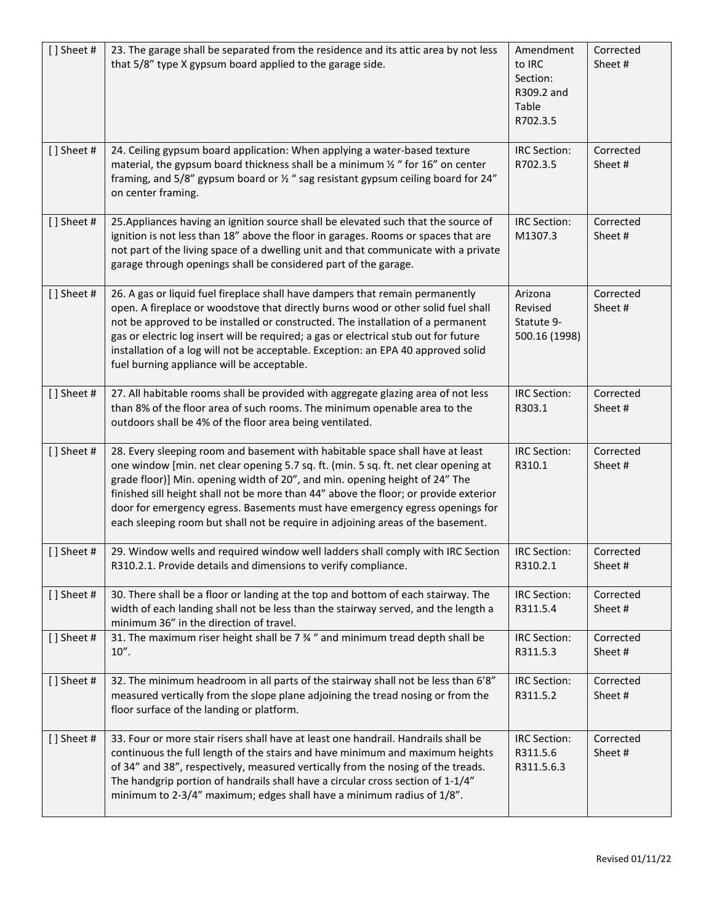| [] Sheet # | 23. The garage shall be separated from the residence and its attic area by not less<br>that 5/8" type X gypsum board applied to the garage side.                                                                                                                                                                                                                                                                                                                                                               | Amendment<br>to IRC<br>Section:<br>R309.2 and<br>Table<br>R702.3.5 | Corrected<br>Sheet#  |
|------------|----------------------------------------------------------------------------------------------------------------------------------------------------------------------------------------------------------------------------------------------------------------------------------------------------------------------------------------------------------------------------------------------------------------------------------------------------------------------------------------------------------------|--------------------------------------------------------------------|----------------------|
| [] Sheet # | 24. Ceiling gypsum board application: When applying a water-based texture<br>material, the gypsum board thickness shall be a minimum $\frac{1}{2}$ " for 16" on center<br>framing, and 5/8" gypsum board or 1/2" sag resistant gypsum ceiling board for 24"<br>on center framing.                                                                                                                                                                                                                              | IRC Section:<br>R702.3.5                                           | Corrected<br>Sheet#  |
| [] Sheet # | 25. Appliances having an ignition source shall be elevated such that the source of<br>ignition is not less than 18" above the floor in garages. Rooms or spaces that are<br>not part of the living space of a dwelling unit and that communicate with a private<br>garage through openings shall be considered part of the garage.                                                                                                                                                                             | <b>IRC Section:</b><br>M1307.3                                     | Corrected<br>Sheet#  |
| [] Sheet # | 26. A gas or liquid fuel fireplace shall have dampers that remain permanently<br>open. A fireplace or woodstove that directly burns wood or other solid fuel shall<br>not be approved to be installed or constructed. The installation of a permanent<br>gas or electric log insert will be required; a gas or electrical stub out for future<br>installation of a log will not be acceptable. Exception: an EPA 40 approved solid<br>fuel burning appliance will be acceptable.                               | Arizona<br>Revised<br>Statute 9-<br>500.16 (1998)                  | Corrected<br>Sheet#  |
| [] Sheet # | 27. All habitable rooms shall be provided with aggregate glazing area of not less<br>than 8% of the floor area of such rooms. The minimum openable area to the<br>outdoors shall be 4% of the floor area being ventilated.                                                                                                                                                                                                                                                                                     | IRC Section:<br>R303.1                                             | Corrected<br>Sheet#  |
| [] Sheet # | 28. Every sleeping room and basement with habitable space shall have at least<br>one window [min. net clear opening 5.7 sq. ft. (min. 5 sq. ft. net clear opening at<br>grade floor)] Min. opening width of 20", and min. opening height of 24" The<br>finished sill height shall not be more than 44" above the floor; or provide exterior<br>door for emergency egress. Basements must have emergency egress openings for<br>each sleeping room but shall not be require in adjoining areas of the basement. | IRC Section:<br>R310.1                                             | Corrected<br>Sheet#  |
| [] Sheet # | 29. Window wells and required window well ladders shall comply with IRC Section<br>R310.2.1. Provide details and dimensions to verify compliance.                                                                                                                                                                                                                                                                                                                                                              | <b>IRC Section:</b><br>R310.2.1                                    | Corrected<br>Sheet#  |
| [] Sheet # | 30. There shall be a floor or landing at the top and bottom of each stairway. The<br>width of each landing shall not be less than the stairway served, and the length a<br>minimum 36" in the direction of travel.                                                                                                                                                                                                                                                                                             | IRC Section:<br>R311.5.4                                           | Corrected<br>Sheet # |
| [] Sheet # | 31. The maximum riser height shall be 7 % " and minimum tread depth shall be<br>10''.                                                                                                                                                                                                                                                                                                                                                                                                                          | <b>IRC Section:</b><br>R311.5.3                                    | Corrected<br>Sheet#  |
| [] Sheet # | 32. The minimum headroom in all parts of the stairway shall not be less than 6'8"<br>measured vertically from the slope plane adjoining the tread nosing or from the<br>floor surface of the landing or platform.                                                                                                                                                                                                                                                                                              | IRC Section:<br>R311.5.2                                           | Corrected<br>Sheet#  |
| [] Sheet # | 33. Four or more stair risers shall have at least one handrail. Handrails shall be<br>continuous the full length of the stairs and have minimum and maximum heights<br>of 34" and 38", respectively, measured vertically from the nosing of the treads.<br>The handgrip portion of handrails shall have a circular cross section of 1-1/4"<br>minimum to 2-3/4" maximum; edges shall have a minimum radius of 1/8".                                                                                            | <b>IRC Section:</b><br>R311.5.6<br>R311.5.6.3                      | Corrected<br>Sheet#  |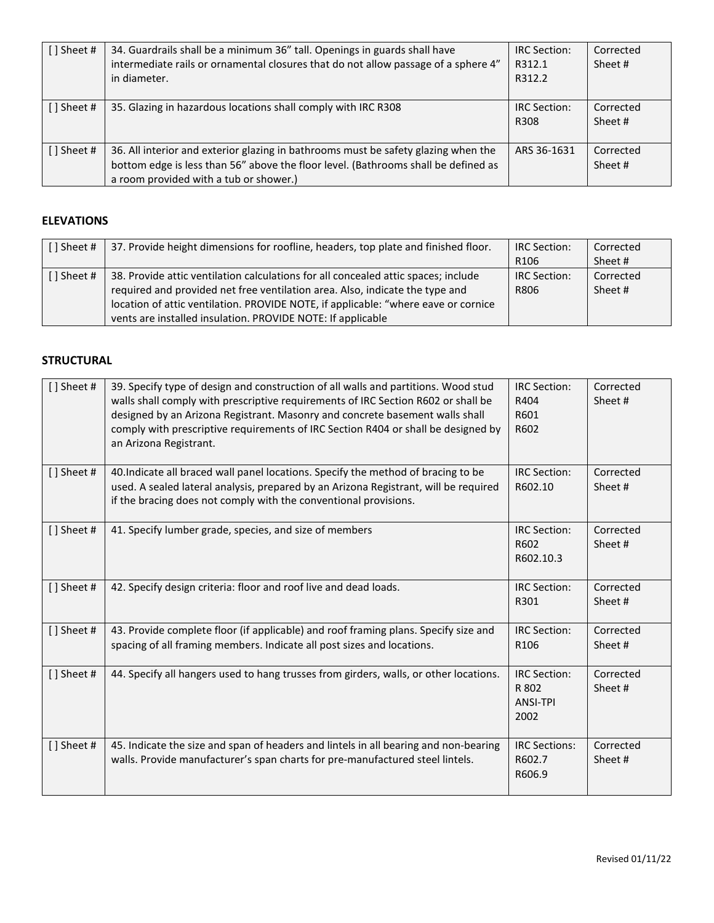| [] Sheet #       | 34. Guardrails shall be a minimum 36" tall. Openings in guards shall have<br>intermediate rails or ornamental closures that do not allow passage of a sphere 4"<br>in diameter.                                    | <b>IRC</b> Section:<br>R312.1<br>R312.2 | Corrected<br>Sheet # |
|------------------|--------------------------------------------------------------------------------------------------------------------------------------------------------------------------------------------------------------------|-----------------------------------------|----------------------|
| $\lceil$ Sheet # | 35. Glazing in hazardous locations shall comply with IRC R308                                                                                                                                                      | IRC Section:<br>R308                    | Corrected<br>Sheet # |
| [ ] Sheet #      | 36. All interior and exterior glazing in bathrooms must be safety glazing when the<br>bottom edge is less than 56" above the floor level. (Bathrooms shall be defined as<br>a room provided with a tub or shower.) | ARS 36-1631                             | Corrected<br>Sheet # |

# **ELEVATIONS**

| [] Sheet #  | 37. Provide height dimensions for roofline, headers, top plate and finished floor. | <b>IRC Section:</b> | Corrected |
|-------------|------------------------------------------------------------------------------------|---------------------|-----------|
|             |                                                                                    | R <sub>106</sub>    | Sheet #   |
| [ ] Sheet # | 38. Provide attic ventilation calculations for all concealed attic spaces; include | <b>IRC Section:</b> | Corrected |
|             | required and provided net free ventilation area. Also, indicate the type and       | R806                | Sheet #   |
|             | location of attic ventilation. PROVIDE NOTE, if applicable: "where eave or cornice |                     |           |
|             | vents are installed insulation. PROVIDE NOTE: If applicable                        |                     |           |

#### **STRUCTURAL**

| [] Sheet # | 39. Specify type of design and construction of all walls and partitions. Wood stud<br>walls shall comply with prescriptive requirements of IRC Section R602 or shall be<br>designed by an Arizona Registrant. Masonry and concrete basement walls shall<br>comply with prescriptive requirements of IRC Section R404 or shall be designed by<br>an Arizona Registrant. | <b>IRC Section:</b><br>R404<br>R601<br>R602             | Corrected<br>Sheet # |
|------------|------------------------------------------------------------------------------------------------------------------------------------------------------------------------------------------------------------------------------------------------------------------------------------------------------------------------------------------------------------------------|---------------------------------------------------------|----------------------|
| [] Sheet # | 40. Indicate all braced wall panel locations. Specify the method of bracing to be<br>used. A sealed lateral analysis, prepared by an Arizona Registrant, will be required<br>if the bracing does not comply with the conventional provisions.                                                                                                                          | <b>IRC Section:</b><br>R602.10                          | Corrected<br>Sheet # |
| [] Sheet # | 41. Specify lumber grade, species, and size of members                                                                                                                                                                                                                                                                                                                 | <b>IRC Section:</b><br>R602<br>R602.10.3                | Corrected<br>Sheet # |
| [] Sheet # | 42. Specify design criteria: floor and roof live and dead loads.                                                                                                                                                                                                                                                                                                       | <b>IRC</b> Section:<br>R301                             | Corrected<br>Sheet # |
| [] Sheet # | 43. Provide complete floor (if applicable) and roof framing plans. Specify size and<br>spacing of all framing members. Indicate all post sizes and locations.                                                                                                                                                                                                          | <b>IRC</b> Section:<br>R <sub>106</sub>                 | Corrected<br>Sheet # |
| [] Sheet # | 44. Specify all hangers used to hang trusses from girders, walls, or other locations.                                                                                                                                                                                                                                                                                  | <b>IRC</b> Section:<br>R 802<br><b>ANSI-TPI</b><br>2002 | Corrected<br>Sheet # |
| [] Sheet # | 45. Indicate the size and span of headers and lintels in all bearing and non-bearing<br>walls. Provide manufacturer's span charts for pre-manufactured steel lintels.                                                                                                                                                                                                  | <b>IRC Sections:</b><br>R602.7<br>R606.9                | Corrected<br>Sheet # |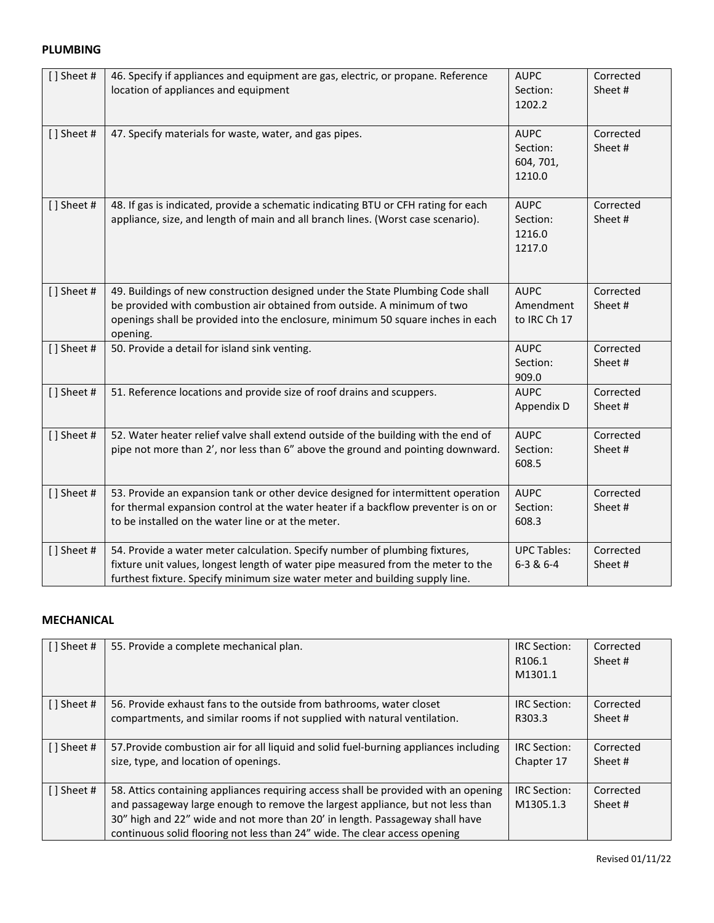#### **PLUMBING**

| [] Sheet # | 46. Specify if appliances and equipment are gas, electric, or propane. Reference<br>location of appliances and equipment                                                                                                                                 | <b>AUPC</b><br>Section:<br>1202.2              | Corrected<br>Sheet # |
|------------|----------------------------------------------------------------------------------------------------------------------------------------------------------------------------------------------------------------------------------------------------------|------------------------------------------------|----------------------|
| [] Sheet # | 47. Specify materials for waste, water, and gas pipes.                                                                                                                                                                                                   | <b>AUPC</b><br>Section:<br>604, 701,<br>1210.0 | Corrected<br>Sheet # |
| [] Sheet # | 48. If gas is indicated, provide a schematic indicating BTU or CFH rating for each<br>appliance, size, and length of main and all branch lines. (Worst case scenario).                                                                                   | <b>AUPC</b><br>Section:<br>1216.0<br>1217.0    | Corrected<br>Sheet#  |
| [] Sheet # | 49. Buildings of new construction designed under the State Plumbing Code shall<br>be provided with combustion air obtained from outside. A minimum of two<br>openings shall be provided into the enclosure, minimum 50 square inches in each<br>opening. | <b>AUPC</b><br>Amendment<br>to IRC Ch 17       | Corrected<br>Sheet#  |
| [] Sheet # | 50. Provide a detail for island sink venting.                                                                                                                                                                                                            | <b>AUPC</b><br>Section:<br>909.0               | Corrected<br>Sheet#  |
| [] Sheet # | 51. Reference locations and provide size of roof drains and scuppers.                                                                                                                                                                                    | <b>AUPC</b><br>Appendix D                      | Corrected<br>Sheet#  |
| [] Sheet # | 52. Water heater relief valve shall extend outside of the building with the end of<br>pipe not more than 2', nor less than 6" above the ground and pointing downward.                                                                                    | <b>AUPC</b><br>Section:<br>608.5               | Corrected<br>Sheet#  |
| [] Sheet # | 53. Provide an expansion tank or other device designed for intermittent operation<br>for thermal expansion control at the water heater if a backflow preventer is on or<br>to be installed on the water line or at the meter.                            | <b>AUPC</b><br>Section:<br>608.3               | Corrected<br>Sheet#  |
| [] Sheet # | 54. Provide a water meter calculation. Specify number of plumbing fixtures,<br>fixture unit values, longest length of water pipe measured from the meter to the<br>furthest fixture. Specify minimum size water meter and building supply line.          | <b>UPC Tables:</b><br>$6 - 3 & 6 - 4$          | Corrected<br>Sheet#  |

#### **MECHANICAL**

| [] Sheet #  | 55. Provide a complete mechanical plan.                                                                                                                                                                                                                                                                                             | IRC Section:<br>R <sub>106.1</sub><br>M1301.1 | Corrected<br>Sheet # |
|-------------|-------------------------------------------------------------------------------------------------------------------------------------------------------------------------------------------------------------------------------------------------------------------------------------------------------------------------------------|-----------------------------------------------|----------------------|
| [ ] Sheet # | 56. Provide exhaust fans to the outside from bathrooms, water closet                                                                                                                                                                                                                                                                | <b>IRC</b> Section:                           | Corrected            |
|             | compartments, and similar rooms if not supplied with natural ventilation.                                                                                                                                                                                                                                                           | R303.3                                        | Sheet #              |
| [] Sheet #  | 57. Provide combustion air for all liquid and solid fuel-burning appliances including                                                                                                                                                                                                                                               | <b>IRC</b> Section:                           | Corrected            |
|             | size, type, and location of openings.                                                                                                                                                                                                                                                                                               | Chapter 17                                    | Sheet #              |
| [ ] Sheet # | 58. Attics containing appliances requiring access shall be provided with an opening<br>and passageway large enough to remove the largest appliance, but not less than<br>30" high and 22" wide and not more than 20' in length. Passageway shall have<br>continuous solid flooring not less than 24" wide. The clear access opening | <b>IRC</b> Section:<br>M1305.1.3              | Corrected<br>Sheet # |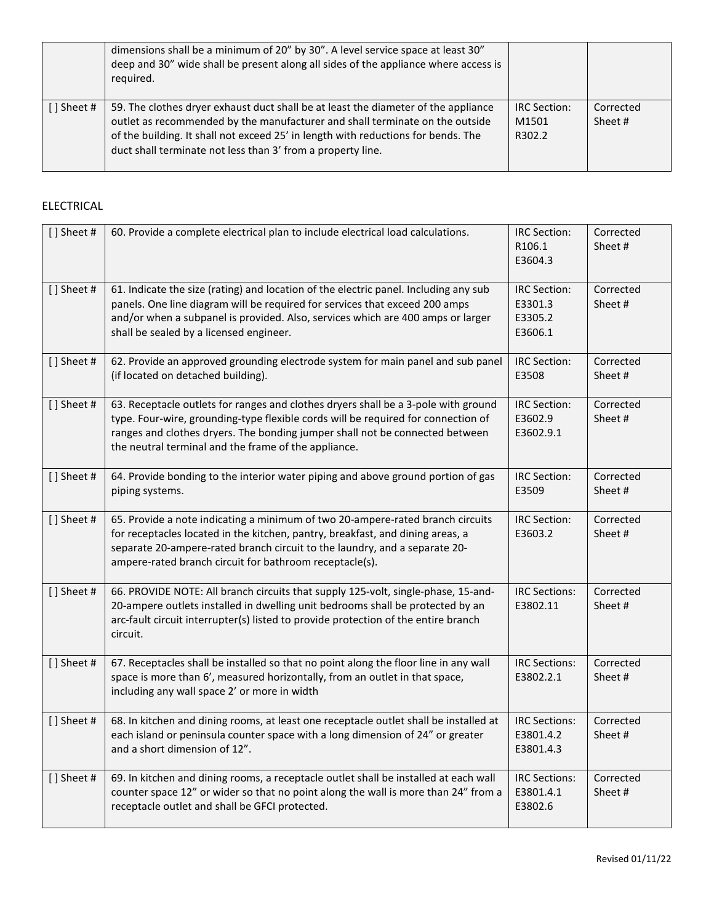|                  | dimensions shall be a minimum of 20" by 30". A level service space at least 30"<br>deep and 30" wide shall be present along all sides of the appliance where access is<br>required.                                                                                                                                    |                                        |                      |
|------------------|------------------------------------------------------------------------------------------------------------------------------------------------------------------------------------------------------------------------------------------------------------------------------------------------------------------------|----------------------------------------|----------------------|
| $\lceil$ Sheet # | 59. The clothes dryer exhaust duct shall be at least the diameter of the appliance<br>outlet as recommended by the manufacturer and shall terminate on the outside<br>of the building. It shall not exceed 25' in length with reductions for bends. The<br>duct shall terminate not less than 3' from a property line. | <b>IRC</b> Section:<br>M1501<br>R302.2 | Corrected<br>Sheet # |

## ELECTRICAL

| [] Sheet # | 60. Provide a complete electrical plan to include electrical load calculations.                                                                                                                                                                                                                                 | IRC Section:<br>R106.1<br>E3604.3                    | Corrected<br>Sheet#  |
|------------|-----------------------------------------------------------------------------------------------------------------------------------------------------------------------------------------------------------------------------------------------------------------------------------------------------------------|------------------------------------------------------|----------------------|
| [] Sheet # | 61. Indicate the size (rating) and location of the electric panel. Including any sub<br>panels. One line diagram will be required for services that exceed 200 amps<br>and/or when a subpanel is provided. Also, services which are 400 amps or larger<br>shall be sealed by a licensed engineer.               | <b>IRC Section:</b><br>E3301.3<br>E3305.2<br>E3606.1 | Corrected<br>Sheet # |
| [] Sheet # | 62. Provide an approved grounding electrode system for main panel and sub panel<br>(if located on detached building).                                                                                                                                                                                           | <b>IRC Section:</b><br>E3508                         | Corrected<br>Sheet # |
| [] Sheet # | 63. Receptacle outlets for ranges and clothes dryers shall be a 3-pole with ground<br>type. Four-wire, grounding-type flexible cords will be required for connection of<br>ranges and clothes dryers. The bonding jumper shall not be connected between<br>the neutral terminal and the frame of the appliance. | <b>IRC Section:</b><br>E3602.9<br>E3602.9.1          | Corrected<br>Sheet#  |
| [] Sheet # | 64. Provide bonding to the interior water piping and above ground portion of gas<br>piping systems.                                                                                                                                                                                                             | <b>IRC Section:</b><br>E3509                         | Corrected<br>Sheet#  |
| [] Sheet # | 65. Provide a note indicating a minimum of two 20-ampere-rated branch circuits<br>for receptacles located in the kitchen, pantry, breakfast, and dining areas, a<br>separate 20-ampere-rated branch circuit to the laundry, and a separate 20-<br>ampere-rated branch circuit for bathroom receptacle(s).       | <b>IRC Section:</b><br>E3603.2                       | Corrected<br>Sheet#  |
| [] Sheet # | 66. PROVIDE NOTE: All branch circuits that supply 125-volt, single-phase, 15-and-<br>20-ampere outlets installed in dwelling unit bedrooms shall be protected by an<br>arc-fault circuit interrupter(s) listed to provide protection of the entire branch<br>circuit.                                           | <b>IRC Sections:</b><br>E3802.11                     | Corrected<br>Sheet # |
| [] Sheet # | 67. Receptacles shall be installed so that no point along the floor line in any wall<br>space is more than 6', measured horizontally, from an outlet in that space,<br>including any wall space 2' or more in width                                                                                             | <b>IRC Sections:</b><br>E3802.2.1                    | Corrected<br>Sheet#  |
| [] Sheet # | 68. In kitchen and dining rooms, at least one receptacle outlet shall be installed at<br>each island or peninsula counter space with a long dimension of 24" or greater<br>and a short dimension of 12".                                                                                                        | <b>IRC Sections:</b><br>E3801.4.2<br>E3801.4.3       | Corrected<br>Sheet#  |
| [] Sheet # | 69. In kitchen and dining rooms, a receptacle outlet shall be installed at each wall<br>counter space 12" or wider so that no point along the wall is more than 24" from a<br>receptacle outlet and shall be GFCI protected.                                                                                    | <b>IRC Sections:</b><br>E3801.4.1<br>E3802.6         | Corrected<br>Sheet # |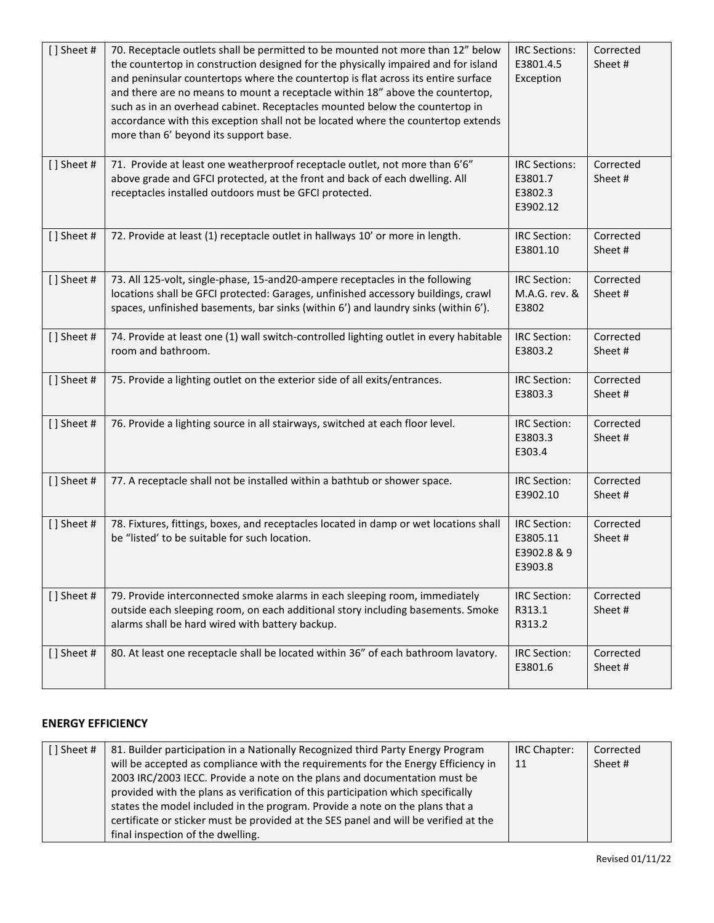| [] Sheet # | 70. Receptacle outlets shall be permitted to be mounted not more than 12" below<br>the countertop in construction designed for the physically impaired and for island<br>and peninsular countertops where the countertop is flat across its entire surface<br>and there are no means to mount a receptacle within 18" above the countertop,<br>such as in an overhead cabinet. Receptacles mounted below the countertop in<br>accordance with this exception shall not be located where the countertop extends<br>more than 6' beyond its support base. | <b>IRC Sections:</b><br>E3801.4.5<br>Exception            | Corrected<br>Sheet#  |
|------------|---------------------------------------------------------------------------------------------------------------------------------------------------------------------------------------------------------------------------------------------------------------------------------------------------------------------------------------------------------------------------------------------------------------------------------------------------------------------------------------------------------------------------------------------------------|-----------------------------------------------------------|----------------------|
| [] Sheet # | 71. Provide at least one weatherproof receptacle outlet, not more than 6'6"<br>above grade and GFCI protected, at the front and back of each dwelling. All<br>receptacles installed outdoors must be GFCI protected.                                                                                                                                                                                                                                                                                                                                    | <b>IRC Sections:</b><br>E3801.7<br>E3802.3<br>E3902.12    | Corrected<br>Sheet # |
| [] Sheet # | 72. Provide at least (1) receptacle outlet in hallways 10' or more in length.                                                                                                                                                                                                                                                                                                                                                                                                                                                                           | <b>IRC Section:</b><br>E3801.10                           | Corrected<br>Sheet # |
| [] Sheet # | 73. All 125-volt, single-phase, 15-and20-ampere receptacles in the following<br>locations shall be GFCI protected: Garages, unfinished accessory buildings, crawl<br>spaces, unfinished basements, bar sinks (within 6') and laundry sinks (within 6').                                                                                                                                                                                                                                                                                                 | <b>IRC Section:</b><br>M.A.G. rev. &<br>E3802             | Corrected<br>Sheet#  |
| [] Sheet # | 74. Provide at least one (1) wall switch-controlled lighting outlet in every habitable<br>room and bathroom.                                                                                                                                                                                                                                                                                                                                                                                                                                            | <b>IRC Section:</b><br>E3803.2                            | Corrected<br>Sheet#  |
| [] Sheet # | 75. Provide a lighting outlet on the exterior side of all exits/entrances.                                                                                                                                                                                                                                                                                                                                                                                                                                                                              | <b>IRC Section:</b><br>E3803.3                            | Corrected<br>Sheet#  |
| [] Sheet # | 76. Provide a lighting source in all stairways, switched at each floor level.                                                                                                                                                                                                                                                                                                                                                                                                                                                                           | <b>IRC Section:</b><br>E3803.3<br>E303.4                  | Corrected<br>Sheet # |
| [] Sheet # | 77. A receptacle shall not be installed within a bathtub or shower space.                                                                                                                                                                                                                                                                                                                                                                                                                                                                               | <b>IRC Section:</b><br>E3902.10                           | Corrected<br>Sheet # |
| [] Sheet # | 78. Fixtures, fittings, boxes, and receptacles located in damp or wet locations shall<br>be "listed' to be suitable for such location.                                                                                                                                                                                                                                                                                                                                                                                                                  | <b>IRC Section:</b><br>E3805.11<br>E3902.8 & 9<br>E3903.8 | Corrected<br>Sheet#  |
| [] Sheet # | 79. Provide interconnected smoke alarms in each sleeping room, immediately<br>outside each sleeping room, on each additional story including basements. Smoke<br>alarms shall be hard wired with battery backup.                                                                                                                                                                                                                                                                                                                                        | <b>IRC Section:</b><br>R313.1<br>R313.2                   | Corrected<br>Sheet # |
| [] Sheet # | 80. At least one receptacle shall be located within 36" of each bathroom lavatory.                                                                                                                                                                                                                                                                                                                                                                                                                                                                      | IRC Section:<br>E3801.6                                   | Corrected<br>Sheet#  |

# **ENERGY EFFICIENCY**

| [] Sheet # | 81. Builder participation in a Nationally Recognized third Party Energy Program      | IRC Chapter: | Corrected |
|------------|--------------------------------------------------------------------------------------|--------------|-----------|
|            | will be accepted as compliance with the requirements for the Energy Efficiency in    | 11           | Sheet #   |
|            | 2003 IRC/2003 IECC. Provide a note on the plans and documentation must be            |              |           |
|            | provided with the plans as verification of this participation which specifically     |              |           |
|            | states the model included in the program. Provide a note on the plans that a         |              |           |
|            | certificate or sticker must be provided at the SES panel and will be verified at the |              |           |
|            | final inspection of the dwelling.                                                    |              |           |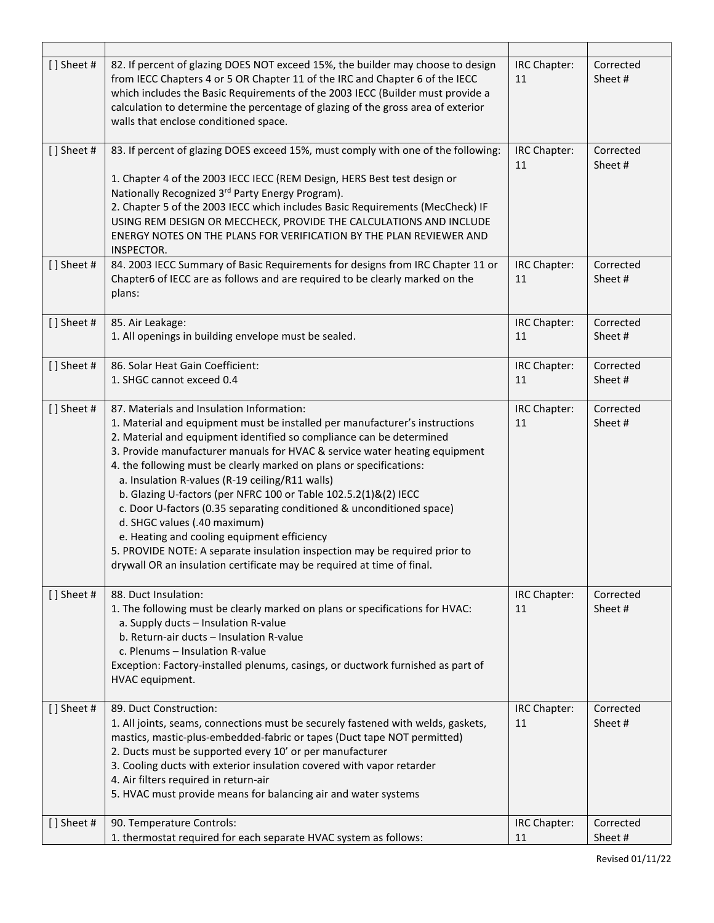| [] Sheet #<br>82. If percent of glazing DOES NOT exceed 15%, the builder may choose to design<br>IRC Chapter:<br>Corrected<br>from IECC Chapters 4 or 5 OR Chapter 11 of the IRC and Chapter 6 of the IECC<br>11<br>Sheet#<br>which includes the Basic Requirements of the 2003 IECC (Builder must provide a<br>calculation to determine the percentage of glazing of the gross area of exterior<br>walls that enclose conditioned space.<br>[] Sheet #<br>83. If percent of glazing DOES exceed 15%, must comply with one of the following:<br>IRC Chapter:<br>Corrected<br>11<br>Sheet#<br>1. Chapter 4 of the 2003 IECC IECC (REM Design, HERS Best test design or<br>Nationally Recognized 3rd Party Energy Program).<br>2. Chapter 5 of the 2003 IECC which includes Basic Requirements (MecCheck) IF<br>USING REM DESIGN OR MECCHECK, PROVIDE THE CALCULATIONS AND INCLUDE<br>ENERGY NOTES ON THE PLANS FOR VERIFICATION BY THE PLAN REVIEWER AND<br>INSPECTOR.<br>[] Sheet #<br>84. 2003 IECC Summary of Basic Requirements for designs from IRC Chapter 11 or<br>IRC Chapter:<br>Corrected<br>Chapter6 of IECC are as follows and are required to be clearly marked on the<br>Sheet#<br>11<br>plans:<br>[] Sheet #<br>85. Air Leakage:<br>Corrected<br>IRC Chapter:<br>1. All openings in building envelope must be sealed.<br>Sheet#<br>11<br>[] Sheet #<br>86. Solar Heat Gain Coefficient:<br>Corrected<br>IRC Chapter:<br>1. SHGC cannot exceed 0.4<br>Sheet#<br>11<br>[] Sheet #<br>87. Materials and Insulation Information:<br>Corrected<br>IRC Chapter:<br>1. Material and equipment must be installed per manufacturer's instructions<br>11<br>Sheet#<br>2. Material and equipment identified so compliance can be determined<br>3. Provide manufacturer manuals for HVAC & service water heating equipment<br>4. the following must be clearly marked on plans or specifications:<br>a. Insulation R-values (R-19 ceiling/R11 walls)<br>b. Glazing U-factors (per NFRC 100 or Table 102.5.2(1)&(2) IECC<br>c. Door U-factors (0.35 separating conditioned & unconditioned space)<br>d. SHGC values (.40 maximum)<br>e. Heating and cooling equipment efficiency<br>5. PROVIDE NOTE: A separate insulation inspection may be required prior to<br>drywall OR an insulation certificate may be required at time of final.<br>[] Sheet #<br>88. Duct Insulation:<br>IRC Chapter:<br>Corrected<br>1. The following must be clearly marked on plans or specifications for HVAC:<br>11<br>Sheet#<br>a. Supply ducts - Insulation R-value<br>b. Return-air ducts - Insulation R-value<br>c. Plenums - Insulation R-value<br>Exception: Factory-installed plenums, casings, or ductwork furnished as part of<br>HVAC equipment.<br>[] Sheet #<br>89. Duct Construction:<br>Corrected<br>IRC Chapter:<br>1. All joints, seams, connections must be securely fastened with welds, gaskets,<br>Sheet#<br>11<br>mastics, mastic-plus-embedded-fabric or tapes (Duct tape NOT permitted)<br>2. Ducts must be supported every 10' or per manufacturer<br>3. Cooling ducts with exterior insulation covered with vapor retarder<br>4. Air filters required in return-air<br>5. HVAC must provide means for balancing air and water systems<br>[] Sheet #<br>90. Temperature Controls:<br>IRC Chapter:<br>Corrected<br>1. thermostat required for each separate HVAC system as follows:<br>Sheet#<br>11 |  |  |
|-----------------------------------------------------------------------------------------------------------------------------------------------------------------------------------------------------------------------------------------------------------------------------------------------------------------------------------------------------------------------------------------------------------------------------------------------------------------------------------------------------------------------------------------------------------------------------------------------------------------------------------------------------------------------------------------------------------------------------------------------------------------------------------------------------------------------------------------------------------------------------------------------------------------------------------------------------------------------------------------------------------------------------------------------------------------------------------------------------------------------------------------------------------------------------------------------------------------------------------------------------------------------------------------------------------------------------------------------------------------------------------------------------------------------------------------------------------------------------------------------------------------------------------------------------------------------------------------------------------------------------------------------------------------------------------------------------------------------------------------------------------------------------------------------------------------------------------------------------------------------------------------------------------------------------------------------------------------------------------------------------------------------------------------------------------------------------------------------------------------------------------------------------------------------------------------------------------------------------------------------------------------------------------------------------------------------------------------------------------------------------------------------------------------------------------------------------------------------------------------------------------------------------------------------------------------------------------------------------------------------------------------------------------------------------------------------------------------------------------------------------------------------------------------------------------------------------------------------------------------------------------------------------------------------------------------------------------------------------------------------------------------------------------------------------------------------------------------------------------------------------------------------------------------------------------------------------------------------------------------------------------------------------------------------------------------------------------------------------------------------------------------------------------|--|--|
|                                                                                                                                                                                                                                                                                                                                                                                                                                                                                                                                                                                                                                                                                                                                                                                                                                                                                                                                                                                                                                                                                                                                                                                                                                                                                                                                                                                                                                                                                                                                                                                                                                                                                                                                                                                                                                                                                                                                                                                                                                                                                                                                                                                                                                                                                                                                                                                                                                                                                                                                                                                                                                                                                                                                                                                                                                                                                                                                                                                                                                                                                                                                                                                                                                                                                                                                                                                                           |  |  |
|                                                                                                                                                                                                                                                                                                                                                                                                                                                                                                                                                                                                                                                                                                                                                                                                                                                                                                                                                                                                                                                                                                                                                                                                                                                                                                                                                                                                                                                                                                                                                                                                                                                                                                                                                                                                                                                                                                                                                                                                                                                                                                                                                                                                                                                                                                                                                                                                                                                                                                                                                                                                                                                                                                                                                                                                                                                                                                                                                                                                                                                                                                                                                                                                                                                                                                                                                                                                           |  |  |
|                                                                                                                                                                                                                                                                                                                                                                                                                                                                                                                                                                                                                                                                                                                                                                                                                                                                                                                                                                                                                                                                                                                                                                                                                                                                                                                                                                                                                                                                                                                                                                                                                                                                                                                                                                                                                                                                                                                                                                                                                                                                                                                                                                                                                                                                                                                                                                                                                                                                                                                                                                                                                                                                                                                                                                                                                                                                                                                                                                                                                                                                                                                                                                                                                                                                                                                                                                                                           |  |  |
|                                                                                                                                                                                                                                                                                                                                                                                                                                                                                                                                                                                                                                                                                                                                                                                                                                                                                                                                                                                                                                                                                                                                                                                                                                                                                                                                                                                                                                                                                                                                                                                                                                                                                                                                                                                                                                                                                                                                                                                                                                                                                                                                                                                                                                                                                                                                                                                                                                                                                                                                                                                                                                                                                                                                                                                                                                                                                                                                                                                                                                                                                                                                                                                                                                                                                                                                                                                                           |  |  |
|                                                                                                                                                                                                                                                                                                                                                                                                                                                                                                                                                                                                                                                                                                                                                                                                                                                                                                                                                                                                                                                                                                                                                                                                                                                                                                                                                                                                                                                                                                                                                                                                                                                                                                                                                                                                                                                                                                                                                                                                                                                                                                                                                                                                                                                                                                                                                                                                                                                                                                                                                                                                                                                                                                                                                                                                                                                                                                                                                                                                                                                                                                                                                                                                                                                                                                                                                                                                           |  |  |
|                                                                                                                                                                                                                                                                                                                                                                                                                                                                                                                                                                                                                                                                                                                                                                                                                                                                                                                                                                                                                                                                                                                                                                                                                                                                                                                                                                                                                                                                                                                                                                                                                                                                                                                                                                                                                                                                                                                                                                                                                                                                                                                                                                                                                                                                                                                                                                                                                                                                                                                                                                                                                                                                                                                                                                                                                                                                                                                                                                                                                                                                                                                                                                                                                                                                                                                                                                                                           |  |  |
|                                                                                                                                                                                                                                                                                                                                                                                                                                                                                                                                                                                                                                                                                                                                                                                                                                                                                                                                                                                                                                                                                                                                                                                                                                                                                                                                                                                                                                                                                                                                                                                                                                                                                                                                                                                                                                                                                                                                                                                                                                                                                                                                                                                                                                                                                                                                                                                                                                                                                                                                                                                                                                                                                                                                                                                                                                                                                                                                                                                                                                                                                                                                                                                                                                                                                                                                                                                                           |  |  |
|                                                                                                                                                                                                                                                                                                                                                                                                                                                                                                                                                                                                                                                                                                                                                                                                                                                                                                                                                                                                                                                                                                                                                                                                                                                                                                                                                                                                                                                                                                                                                                                                                                                                                                                                                                                                                                                                                                                                                                                                                                                                                                                                                                                                                                                                                                                                                                                                                                                                                                                                                                                                                                                                                                                                                                                                                                                                                                                                                                                                                                                                                                                                                                                                                                                                                                                                                                                                           |  |  |
|                                                                                                                                                                                                                                                                                                                                                                                                                                                                                                                                                                                                                                                                                                                                                                                                                                                                                                                                                                                                                                                                                                                                                                                                                                                                                                                                                                                                                                                                                                                                                                                                                                                                                                                                                                                                                                                                                                                                                                                                                                                                                                                                                                                                                                                                                                                                                                                                                                                                                                                                                                                                                                                                                                                                                                                                                                                                                                                                                                                                                                                                                                                                                                                                                                                                                                                                                                                                           |  |  |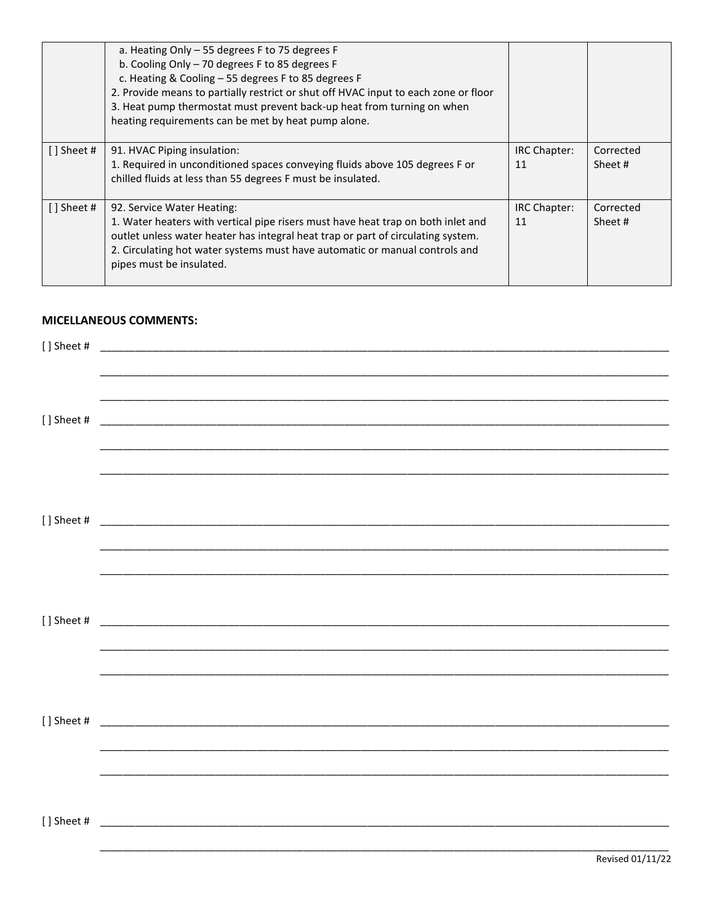|               | a. Heating Only - 55 degrees F to 75 degrees F<br>b. Cooling Only - 70 degrees F to 85 degrees F<br>c. Heating & Cooling - 55 degrees F to 85 degrees F<br>2. Provide means to partially restrict or shut off HVAC input to each zone or floor<br>3. Heat pump thermostat must prevent back-up heat from turning on when<br>heating requirements can be met by heat pump alone. |                    |                      |
|---------------|---------------------------------------------------------------------------------------------------------------------------------------------------------------------------------------------------------------------------------------------------------------------------------------------------------------------------------------------------------------------------------|--------------------|----------------------|
| $[$ ] Sheet # | 91. HVAC Piping insulation:<br>1. Required in unconditioned spaces conveying fluids above 105 degrees F or<br>chilled fluids at less than 55 degrees F must be insulated.                                                                                                                                                                                                       | IRC Chapter:<br>11 | Corrected<br>Sheet # |
| [] Sheet #    | 92. Service Water Heating:<br>1. Water heaters with vertical pipe risers must have heat trap on both inlet and<br>outlet unless water heater has integral heat trap or part of circulating system.<br>2. Circulating hot water systems must have automatic or manual controls and<br>pipes must be insulated.                                                                   | IRC Chapter:<br>11 | Corrected<br>Sheet # |

#### **MICELLANEOUS COMMENTS:**

| [] Sheet # |  |  |
|------------|--|--|
|            |  |  |
|            |  |  |
|            |  |  |
| [] Sheet # |  |  |
|            |  |  |
|            |  |  |
|            |  |  |
|            |  |  |
|            |  |  |
|            |  |  |
|            |  |  |
|            |  |  |
| [] Sheet # |  |  |
|            |  |  |
|            |  |  |
|            |  |  |
|            |  |  |
|            |  |  |
|            |  |  |